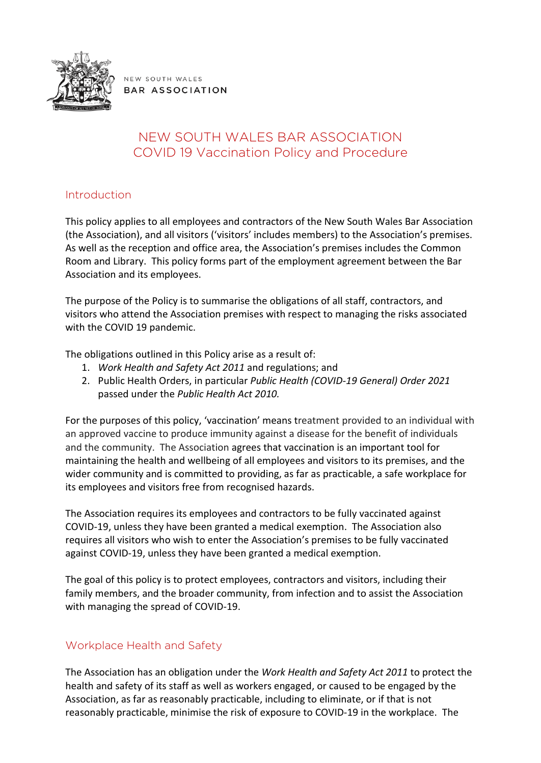

NEW SOUTH WALES **BAR ASSOCIATION** 

# NEW SOUTH WALES BAR ASSOCIATION COVID 19 Vaccination Policy and Procedure

# Introduction

This policy applies to all employees and contractors of the New South Wales Bar Association (the Association), and all visitors ('visitors' includes members) to the Association's premises. As well as the reception and office area, the Association's premises includes the Common Room and Library. This policy forms part of the employment agreement between the Bar Association and its employees.

The purpose of the Policy is to summarise the obligations of all staff, contractors, and visitors who attend the Association premises with respect to managing the risks associated with the COVID 19 pandemic.

The obligations outlined in this Policy arise as a result of:

- 1. *Work Health and Safety Act 2011* and regulations; and
- 2. Public Health Orders, in particular *Public Health (COVID-19 General) Order 2021* passed under the *Public Health Act 2010.*

For the purposes of this policy, 'vaccination' means treatment provided to an individual with an approved vaccine to produce immunity against a disease for the benefit of individuals and the community. The Association agrees that vaccination is an important tool for maintaining the health and wellbeing of all employees and visitors to its premises, and the wider community and is committed to providing, as far as practicable, a safe workplace for its employees and visitors free from recognised hazards.

The Association requires its employees and contractors to be fully vaccinated against COVID-19, unless they have been granted a medical exemption. The Association also requires all visitors who wish to enter the Association's premises to be fully vaccinated against COVID-19, unless they have been granted a medical exemption.

The goal of this policy is to protect employees, contractors and visitors, including their family members, and the broader community, from infection and to assist the Association with managing the spread of COVID-19.

# Workplace Health and Safety

The Association has an obligation under the *Work Health and Safety Act 2011* to protect the health and safety of its staff as well as workers engaged, or caused to be engaged by the Association, as far as reasonably practicable, including to eliminate, or if that is not reasonably practicable, minimise the risk of exposure to COVID-19 in the workplace. The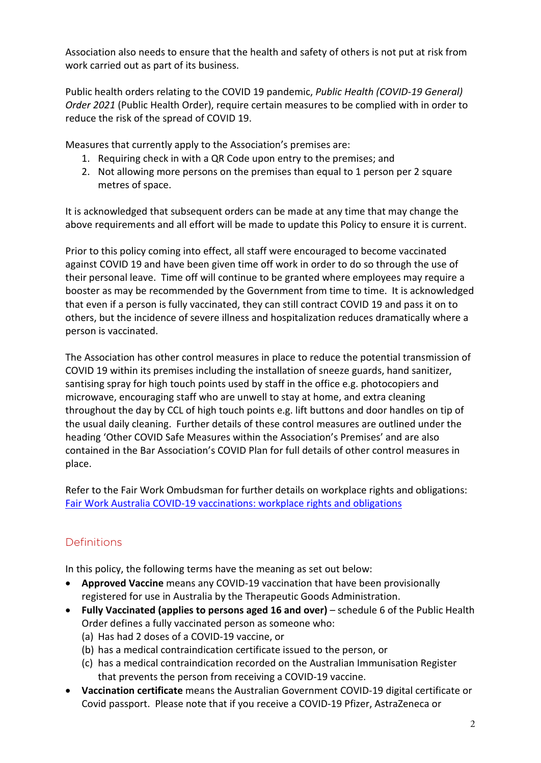Association also needs to ensure that the health and safety of others is not put at risk from work carried out as part of its business.

Public health orders relating to the COVID 19 pandemic, *Public Health (COVID-19 General) Order 2021* (Public Health Order), require certain measures to be complied with in order to reduce the risk of the spread of COVID 19.

Measures that currently apply to the Association's premises are:

- 1. Requiring check in with a QR Code upon entry to the premises; and
- 2. Not allowing more persons on the premises than equal to 1 person per 2 square metres of space.

It is acknowledged that subsequent orders can be made at any time that may change the above requirements and all effort will be made to update this Policy to ensure it is current.

Prior to this policy coming into effect, all staff were encouraged to become vaccinated against COVID 19 and have been given time off work in order to do so through the use of their personal leave. Time off will continue to be granted where employees may require a booster as may be recommended by the Government from time to time. It is acknowledged that even if a person is fully vaccinated, they can still contract COVID 19 and pass it on to others, but the incidence of severe illness and hospitalization reduces dramatically where a person is vaccinated.

The Association has other control measures in place to reduce the potential transmission of COVID 19 within its premises including the installation of sneeze guards, hand sanitizer, santising spray for high touch points used by staff in the office e.g. photocopiers and microwave, encouraging staff who are unwell to stay at home, and extra cleaning throughout the day by CCL of high touch points e.g. lift buttons and door handles on tip of the usual daily cleaning. Further details of these control measures are outlined under the heading 'Other COVID Safe Measures within the Association's Premises' and are also contained in the Bar Association's COVID Plan for full details of other control measures in place.

Refer to the Fair Work Ombudsman for further details on workplace rights and obligations: [Fair Work Australia COVID-19 vaccinations: workplace rights and obligations](https://coronavirus.fairwork.gov.au/coronavirus-and-australian-workplace-laws/covid-19-vaccinations-and-the-workplace/covid-19-vaccinations-workplace-rights-and-obligations#lawful-and-reasonable-directions-to-get-vaccinated)

# Definitions

In this policy, the following terms have the meaning as set out below:

- **Approved Vaccine** means any COVID-19 vaccination that have been provisionally registered for use in Australia by the Therapeutic Goods Administration.
- **Fully Vaccinated (applies to persons aged 16 and over)** schedule 6 of the Public Health Order defines a fully vaccinated person as someone who:
	- (a) Has had 2 doses of a COVID-19 vaccine, or
	- (b) has a medical contraindication certificate issued to the person, or
	- (c) has a medical contraindication recorded on the Australian Immunisation Register that prevents the person from receiving a COVID-19 vaccine.
- **Vaccination certificate** means the Australian Government COVID-19 digital certificate or Covid passport. Please note that if you receive a COVID-19 Pfizer, AstraZeneca or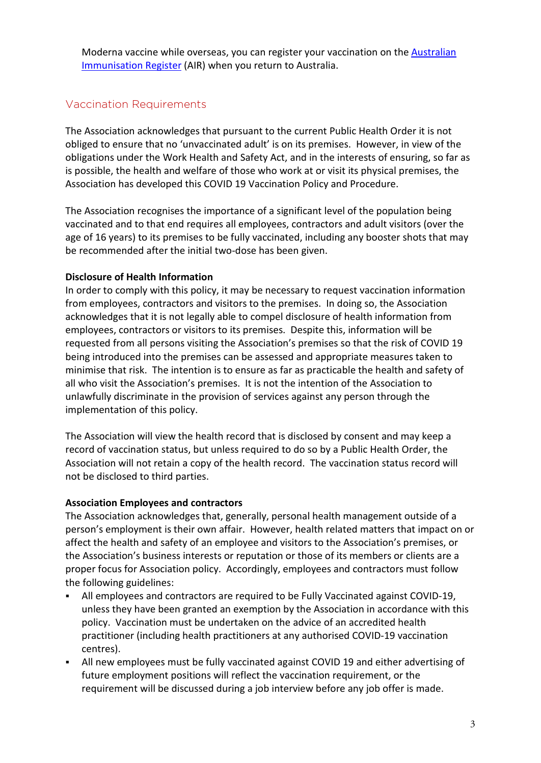Moderna vaccine while overseas, you can register your vaccination on the [Australian](https://www.servicesaustralia.gov.au/individuals/services/medicare/australian-immunisation-register/what-register/overseas-immunisations)  [Immunisation Register](https://www.servicesaustralia.gov.au/individuals/services/medicare/australian-immunisation-register/what-register/overseas-immunisations) (AIR) when you return to Australia.

## Vaccination Requirements

The Association acknowledges that pursuant to the current Public Health Order it is not obliged to ensure that no 'unvaccinated adult' is on its premises. However, in view of the obligations under the Work Health and Safety Act, and in the interests of ensuring, so far as is possible, the health and welfare of those who work at or visit its physical premises, the Association has developed this COVID 19 Vaccination Policy and Procedure.

The Association recognises the importance of a significant level of the population being vaccinated and to that end requires all employees, contractors and adult visitors (over the age of 16 years) to its premises to be fully vaccinated, including any booster shots that may be recommended after the initial two-dose has been given.

#### **Disclosure of Health Information**

In order to comply with this policy, it may be necessary to request vaccination information from employees, contractors and visitors to the premises. In doing so, the Association acknowledges that it is not legally able to compel disclosure of health information from employees, contractors or visitors to its premises. Despite this, information will be requested from all persons visiting the Association's premises so that the risk of COVID 19 being introduced into the premises can be assessed and appropriate measures taken to minimise that risk. The intention is to ensure as far as practicable the health and safety of all who visit the Association's premises. It is not the intention of the Association to unlawfully discriminate in the provision of services against any person through the implementation of this policy.

The Association will view the health record that is disclosed by consent and may keep a record of vaccination status, but unless required to do so by a Public Health Order, the Association will not retain a copy of the health record. The vaccination status record will not be disclosed to third parties.

#### **Association Employees and contractors**

The Association acknowledges that, generally, personal health management outside of a person's employment is their own affair. However, health related matters that impact on or affect the health and safety of an employee and visitors to the Association's premises, or the Association's business interests or reputation or those of its members or clients are a proper focus for Association policy. Accordingly, employees and contractors must follow the following guidelines:

- All employees and contractors are required to be Fully Vaccinated against COVID-19, unless they have been granted an exemption by the Association in accordance with this policy. Vaccination must be undertaken on the advice of an accredited health practitioner (including health practitioners at any authorised COVID-19 vaccination centres).
- All new employees must be fully vaccinated against COVID 19 and either advertising of future employment positions will reflect the vaccination requirement, or the requirement will be discussed during a job interview before any job offer is made.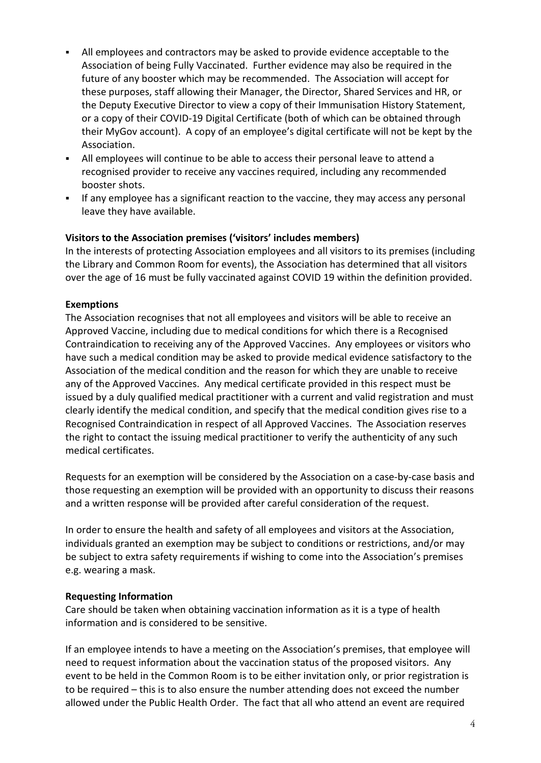- All employees and contractors may be asked to provide evidence acceptable to the Association of being Fully Vaccinated. Further evidence may also be required in the future of any booster which may be recommended. The Association will accept for these purposes, staff allowing their Manager, the Director, Shared Services and HR, or the Deputy Executive Director to view a copy of their Immunisation History Statement, or a copy of their COVID-19 Digital Certificate (both of which can be obtained through their MyGov account). A copy of an employee's digital certificate will not be kept by the Association.
- All employees will continue to be able to access their personal leave to attend a recognised provider to receive any vaccines required, including any recommended booster shots.
- **If any employee has a significant reaction to the vaccine, they may access any personal** leave they have available.

## **Visitors to the Association premises ('visitors' includes members)**

In the interests of protecting Association employees and all visitors to its premises (including the Library and Common Room for events), the Association has determined that all visitors over the age of 16 must be fully vaccinated against COVID 19 within the definition provided.

#### **Exemptions**

The Association recognises that not all employees and visitors will be able to receive an Approved Vaccine, including due to medical conditions for which there is a Recognised Contraindication to receiving any of the Approved Vaccines. Any employees or visitors who have such a medical condition may be asked to provide medical evidence satisfactory to the Association of the medical condition and the reason for which they are unable to receive any of the Approved Vaccines. Any medical certificate provided in this respect must be issued by a duly qualified medical practitioner with a current and valid registration and must clearly identify the medical condition, and specify that the medical condition gives rise to a Recognised Contraindication in respect of all Approved Vaccines. The Association reserves the right to contact the issuing medical practitioner to verify the authenticity of any such medical certificates.

Requests for an exemption will be considered by the Association on a case-by-case basis and those requesting an exemption will be provided with an opportunity to discuss their reasons and a written response will be provided after careful consideration of the request.

In order to ensure the health and safety of all employees and visitors at the Association, individuals granted an exemption may be subject to conditions or restrictions, and/or may be subject to extra safety requirements if wishing to come into the Association's premises e.g. wearing a mask.

#### **Requesting Information**

Care should be taken when obtaining vaccination information as it is a type of health information and is considered to be sensitive.

If an employee intends to have a meeting on the Association's premises, that employee will need to request information about the vaccination status of the proposed visitors. Any event to be held in the Common Room is to be either invitation only, or prior registration is to be required – this is to also ensure the number attending does not exceed the number allowed under the Public Health Order. The fact that all who attend an event are required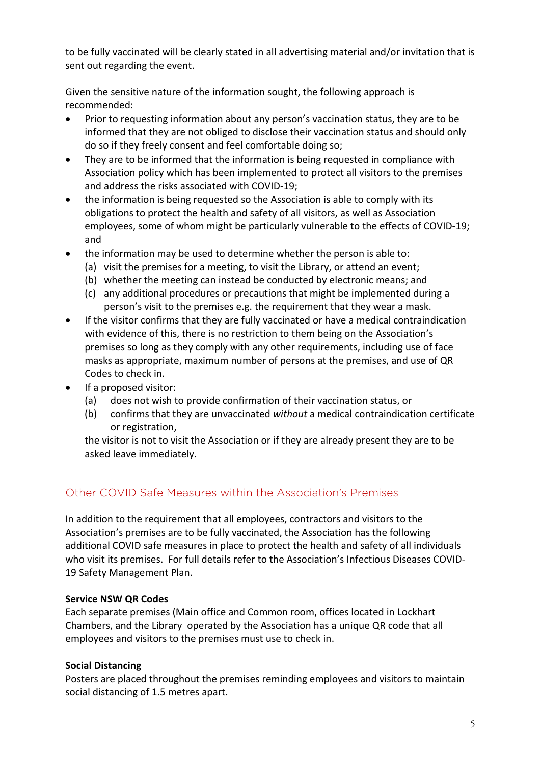to be fully vaccinated will be clearly stated in all advertising material and/or invitation that is sent out regarding the event.

Given the sensitive nature of the information sought, the following approach is recommended:

- Prior to requesting information about any person's vaccination status, they are to be informed that they are not obliged to disclose their vaccination status and should only do so if they freely consent and feel comfortable doing so;
- They are to be informed that the information is being requested in compliance with Association policy which has been implemented to protect all visitors to the premises and address the risks associated with COVID-19;
- the information is being requested so the Association is able to comply with its obligations to protect the health and safety of all visitors, as well as Association employees, some of whom might be particularly vulnerable to the effects of COVID-19; and
- the information may be used to determine whether the person is able to:
	- (a) visit the premises for a meeting, to visit the Library, or attend an event;
	- (b) whether the meeting can instead be conducted by electronic means; and
	- (c) any additional procedures or precautions that might be implemented during a person's visit to the premises e.g. the requirement that they wear a mask.
- If the visitor confirms that they are fully vaccinated or have a medical contraindication with evidence of this, there is no restriction to them being on the Association's premises so long as they comply with any other requirements, including use of face masks as appropriate, maximum number of persons at the premises, and use of QR Codes to check in.
- If a proposed visitor:
	- (a) does not wish to provide confirmation of their vaccination status, or
	- (b) confirms that they are unvaccinated *without* a medical contraindication certificate or registration,

the visitor is not to visit the Association or if they are already present they are to be asked leave immediately.

## Other COVID Safe Measures within the Association's Premises

In addition to the requirement that all employees, contractors and visitors to the Association's premises are to be fully vaccinated, the Association has the following additional COVID safe measures in place to protect the health and safety of all individuals who visit its premises. For full details refer to the Association's Infectious Diseases COVID-19 Safety Management Plan.

## **Service NSW QR Codes**

Each separate premises (Main office and Common room, offices located in Lockhart Chambers, and the Library operated by the Association has a unique QR code that all employees and visitors to the premises must use to check in.

## **Social Distancing**

Posters are placed throughout the premises reminding employees and visitors to maintain social distancing of 1.5 metres apart.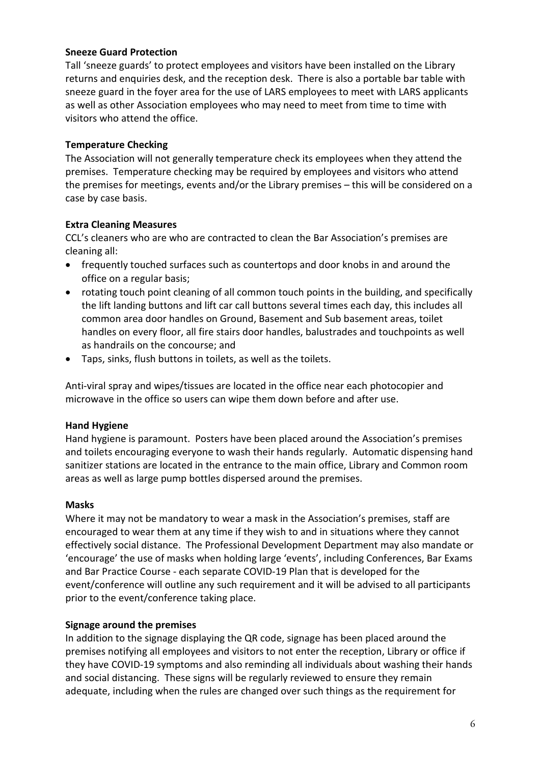#### **Sneeze Guard Protection**

Tall 'sneeze guards' to protect employees and visitors have been installed on the Library returns and enquiries desk, and the reception desk. There is also a portable bar table with sneeze guard in the foyer area for the use of LARS employees to meet with LARS applicants as well as other Association employees who may need to meet from time to time with visitors who attend the office.

## **Temperature Checking**

The Association will not generally temperature check its employees when they attend the premises. Temperature checking may be required by employees and visitors who attend the premises for meetings, events and/or the Library premises – this will be considered on a case by case basis.

## **Extra Cleaning Measures**

CCL's cleaners who are who are contracted to clean the Bar Association's premises are cleaning all:

- frequently touched surfaces such as countertops and door knobs in and around the office on a regular basis;
- rotating touch point cleaning of all common touch points in the building, and specifically the lift landing buttons and lift car call buttons several times each day, this includes all common area door handles on Ground, Basement and Sub basement areas, toilet handles on every floor, all fire stairs door handles, balustrades and touchpoints as well as handrails on the concourse; and
- Taps, sinks, flush buttons in toilets, as well as the toilets.

Anti-viral spray and wipes/tissues are located in the office near each photocopier and microwave in the office so users can wipe them down before and after use.

## **Hand Hygiene**

Hand hygiene is paramount. Posters have been placed around the Association's premises and toilets encouraging everyone to wash their hands regularly. Automatic dispensing hand sanitizer stations are located in the entrance to the main office, Library and Common room areas as well as large pump bottles dispersed around the premises.

#### **Masks**

Where it may not be mandatory to wear a mask in the Association's premises, staff are encouraged to wear them at any time if they wish to and in situations where they cannot effectively social distance. The Professional Development Department may also mandate or 'encourage' the use of masks when holding large 'events', including Conferences, Bar Exams and Bar Practice Course - each separate COVID-19 Plan that is developed for the event/conference will outline any such requirement and it will be advised to all participants prior to the event/conference taking place.

## **Signage around the premises**

In addition to the signage displaying the QR code, signage has been placed around the premises notifying all employees and visitors to not enter the reception, Library or office if they have COVID-19 symptoms and also reminding all individuals about washing their hands and social distancing. These signs will be regularly reviewed to ensure they remain adequate, including when the rules are changed over such things as the requirement for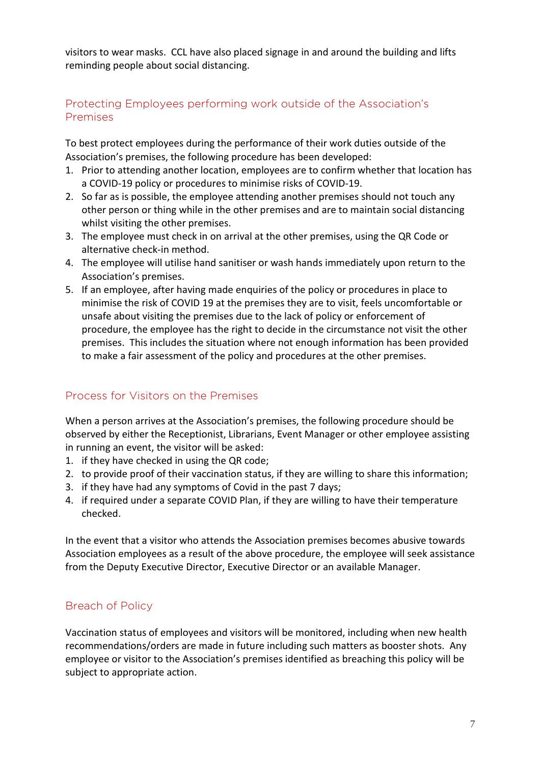visitors to wear masks. CCL have also placed signage in and around the building and lifts reminding people about social distancing.

# Protecting Employees performing work outside of the Association's Premises

To best protect employees during the performance of their work duties outside of the Association's premises, the following procedure has been developed:

- 1. Prior to attending another location, employees are to confirm whether that location has a COVID-19 policy or procedures to minimise risks of COVID-19.
- 2. So far as is possible, the employee attending another premises should not touch any other person or thing while in the other premises and are to maintain social distancing whilst visiting the other premises.
- 3. The employee must check in on arrival at the other premises, using the QR Code or alternative check-in method.
- 4. The employee will utilise hand sanitiser or wash hands immediately upon return to the Association's premises.
- 5. If an employee, after having made enquiries of the policy or procedures in place to minimise the risk of COVID 19 at the premises they are to visit, feels uncomfortable or unsafe about visiting the premises due to the lack of policy or enforcement of procedure, the employee has the right to decide in the circumstance not visit the other premises. This includes the situation where not enough information has been provided to make a fair assessment of the policy and procedures at the other premises.

# Process for Visitors on the Premises

When a person arrives at the Association's premises, the following procedure should be observed by either the Receptionist, Librarians, Event Manager or other employee assisting in running an event, the visitor will be asked:

- 1. if they have checked in using the QR code;
- 2. to provide proof of their vaccination status, if they are willing to share this information;
- 3. if they have had any symptoms of Covid in the past 7 days;
- 4. if required under a separate COVID Plan, if they are willing to have their temperature checked.

In the event that a visitor who attends the Association premises becomes abusive towards Association employees as a result of the above procedure, the employee will seek assistance from the Deputy Executive Director, Executive Director or an available Manager.

# Breach of Policy

Vaccination status of employees and visitors will be monitored, including when new health recommendations/orders are made in future including such matters as booster shots. Any employee or visitor to the Association's premises identified as breaching this policy will be subject to appropriate action.